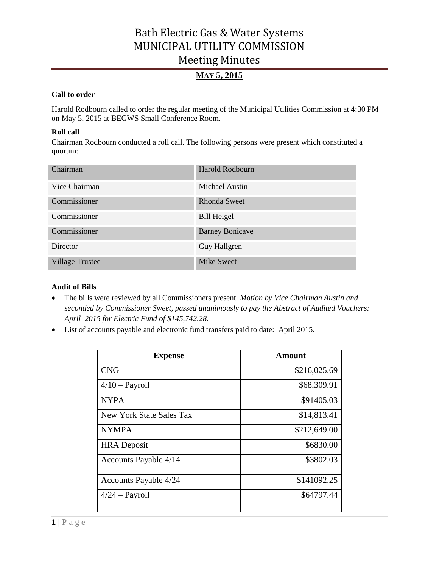# **MAY 5, 2015**

### **Call to order**

Harold Rodbourn called to order the regular meeting of the Municipal Utilities Commission at 4:30 PM on May 5, 2015 at BEGWS Small Conference Room.

### **Roll call**

Chairman Rodbourn conducted a roll call. The following persons were present which constituted a quorum:

| Chairman               | Harold Rodbourn        |
|------------------------|------------------------|
| Vice Chairman          | Michael Austin         |
| Commissioner           | <b>Rhonda Sweet</b>    |
| Commissioner           | Bill Heigel            |
| Commissioner           | <b>Barney Bonicave</b> |
| Director               | Guy Hallgren           |
| <b>Village Trustee</b> | <b>Mike Sweet</b>      |

## **Audit of Bills**

- The bills were reviewed by all Commissioners present. *Motion by Vice Chairman Austin and seconded by Commissioner Sweet, passed unanimously to pay the Abstract of Audited Vouchers: April 2015 for Electric Fund of \$145,742.28.*
- List of accounts payable and electronic fund transfers paid to date: April 2015.

| <b>Expense</b>           | Amount       |
|--------------------------|--------------|
| <b>CNG</b>               | \$216,025.69 |
| $4/10$ – Payroll         | \$68,309.91  |
| <b>NYPA</b>              | \$91405.03   |
| New York State Sales Tax | \$14,813.41  |
| <b>NYMPA</b>             | \$212,649.00 |
| <b>HRA</b> Deposit       | \$6830.00    |
| Accounts Payable 4/14    | \$3802.03    |
| Accounts Payable 4/24    | \$141092.25  |
| $4/24$ – Payroll         | \$64797.44   |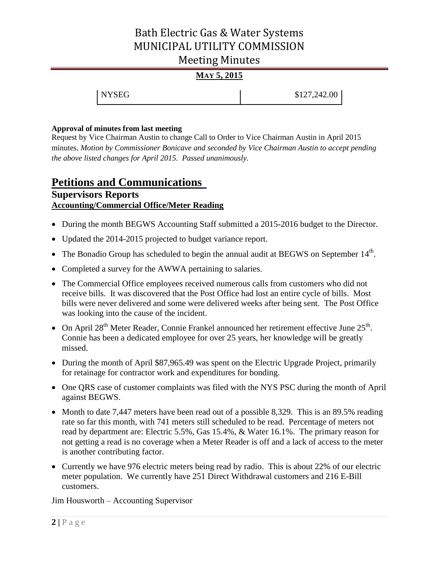# **MAY 5, 2015**

| <b>NYSEG</b> | \$127,242.00 |
|--------------|--------------|
|--------------|--------------|

### **Approval of minutes from last meeting**

Request by Vice Chairman Austin to change Call to Order to Vice Chairman Austin in April 2015 minutes. *Motion by Commissioner Bonicave and seconded by Vice Chairman Austin to accept pending the above listed changes for April 2015. Passed unanimously.* 

# **Petitions and Communications Supervisors Reports Accounting/Commercial Office/Meter Reading**

- During the month BEGWS Accounting Staff submitted a 2015-2016 budget to the Director.
- Updated the 2014-2015 projected to budget variance report.
- The Bonadio Group has scheduled to begin the annual audit at BEGWS on September  $14<sup>th</sup>$ .
- Completed a survey for the AWWA pertaining to salaries.
- The Commercial Office employees received numerous calls from customers who did not receive bills. It was discovered that the Post Office had lost an entire cycle of bills. Most bills were never delivered and some were delivered weeks after being sent. The Post Office was looking into the cause of the incident.
- On April 28<sup>th</sup> Meter Reader, Connie Frankel announced her retirement effective June  $25^{\text{th}}$ . Connie has been a dedicated employee for over 25 years, her knowledge will be greatly missed.
- During the month of April \$87,965.49 was spent on the Electric Upgrade Project, primarily for retainage for contractor work and expenditures for bonding.
- One QRS case of customer complaints was filed with the NYS PSC during the month of April against BEGWS.
- Month to date 7,447 meters have been read out of a possible 8,329. This is an 89.5% reading rate so far this month, with 741 meters still scheduled to be read. Percentage of meters not read by department are: Electric 5.5%, Gas 15.4%, & Water 16.1%. The primary reason for not getting a read is no coverage when a Meter Reader is off and a lack of access to the meter is another contributing factor.
- Currently we have 976 electric meters being read by radio. This is about 22% of our electric meter population. We currently have 251 Direct Withdrawal customers and 216 E-Bill customers.

Jim Housworth – Accounting Supervisor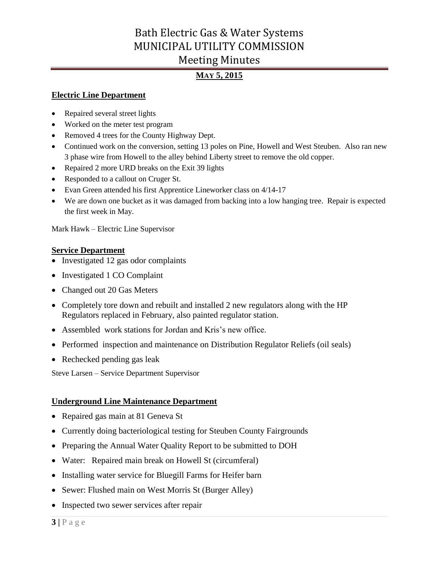# **MAY 5, 2015**

## **Electric Line Department**

- Repaired several street lights
- Worked on the meter test program
- Removed 4 trees for the County Highway Dept.
- Continued work on the conversion, setting 13 poles on Pine, Howell and West Steuben. Also ran new 3 phase wire from Howell to the alley behind Liberty street to remove the old copper.
- Repaired 2 more URD breaks on the Exit 39 lights
- Responded to a callout on Cruger St.
- Evan Green attended his first Apprentice Lineworker class on 4/14-17
- We are down one bucket as it was damaged from backing into a low hanging tree. Repair is expected the first week in May.

Mark Hawk – Electric Line Supervisor

## **Service Department**

- Investigated 12 gas odor complaints
- Investigated 1 CO Complaint
- Changed out 20 Gas Meters
- Completely tore down and rebuilt and installed 2 new regulators along with the HP Regulators replaced in February, also painted regulator station.
- Assembled work stations for Jordan and Kris's new office.
- Performed inspection and maintenance on Distribution Regulator Reliefs (oil seals)
- Rechecked pending gas leak

Steve Larsen – Service Department Supervisor

## **Underground Line Maintenance Department**

- Repaired gas main at 81 Geneva St
- Currently doing bacteriological testing for Steuben County Fairgrounds
- Preparing the Annual Water Quality Report to be submitted to DOH
- Water: Repaired main break on Howell St (circumferal)
- Installing water service for Bluegill Farms for Heifer barn
- Sewer: Flushed main on West Morris St (Burger Alley)
- Inspected two sewer services after repair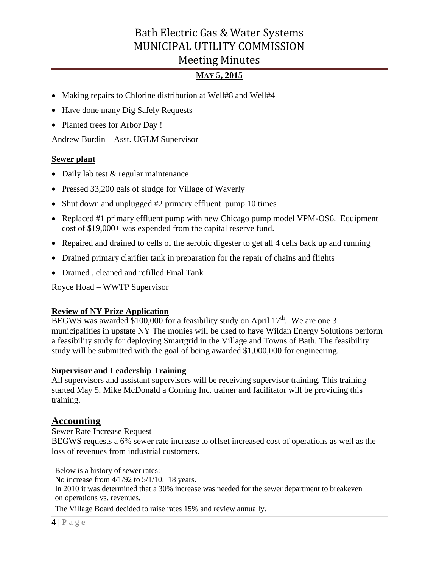# **MAY 5, 2015**

- Making repairs to Chlorine distribution at Well#8 and Well#4
- Have done many Dig Safely Requests
- Planted trees for Arbor Day !

Andrew Burdin – Asst. UGLM Supervisor

## **Sewer plant**

- Daily lab test & regular maintenance
- Pressed 33,200 gals of sludge for Village of Waverly
- Shut down and unplugged #2 primary effluent pump 10 times
- Replaced #1 primary effluent pump with new Chicago pump model VPM-OS6. Equipment cost of \$19,000+ was expended from the capital reserve fund.
- Repaired and drained to cells of the aerobic digester to get all 4 cells back up and running
- Drained primary clarifier tank in preparation for the repair of chains and flights
- Drained , cleaned and refilled Final Tank

Royce Hoad – WWTP Supervisor

# **Review of NY Prize Application**

BEGWS was awarded \$100,000 for a feasibility study on April  $17<sup>th</sup>$ . We are one 3 municipalities in upstate NY The monies will be used to have Wildan Energy Solutions perform a feasibility study for deploying Smartgrid in the Village and Towns of Bath. The feasibility study will be submitted with the goal of being awarded \$1,000,000 for engineering.

## **Supervisor and Leadership Training**

All supervisors and assistant supervisors will be receiving supervisor training. This training started May 5. Mike McDonald a Corning Inc. trainer and facilitator will be providing this training.

# **Accounting**

## Sewer Rate Increase Request

BEGWS requests a 6% sewer rate increase to offset increased cost of operations as well as the loss of revenues from industrial customers.

Below is a history of sewer rates:

No increase from 4/1/92 to 5/1/10. 18 years.

In 2010 it was determined that a 30% increase was needed for the sewer department to breakeven on operations vs. revenues.

The Village Board decided to raise rates 15% and review annually.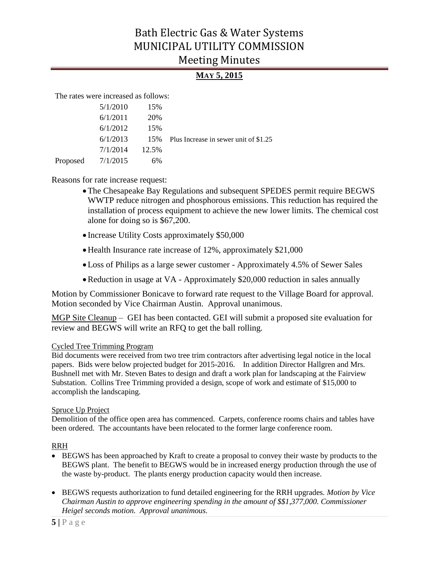# **MAY 5, 2015**

The rates were increased as follows:

| 5/1/2010            | 15% |                                                      |
|---------------------|-----|------------------------------------------------------|
| 6/1/2011            | 20% |                                                      |
| 6/1/2012            | 15% |                                                      |
|                     |     | $6/1/2013$ 15% Plus Increase in sewer unit of \$1.25 |
| $7/1/2014$ 12.5%    |     |                                                      |
| Proposed $7/1/2015$ | 6%  |                                                      |

Reasons for rate increase request:

- The Chesapeake Bay Regulations and subsequent SPEDES permit require BEGWS WWTP reduce nitrogen and phosphorous emissions. This reduction has required the installation of process equipment to achieve the new lower limits. The chemical cost alone for doing so is \$67,200.
- Increase Utility Costs approximately \$50,000
- Health Insurance rate increase of 12%, approximately \$21,000
- Loss of Philips as a large sewer customer Approximately 4.5% of Sewer Sales
- Reduction in usage at VA Approximately \$20,000 reduction in sales annually

Motion by Commissioner Bonicave to forward rate request to the Village Board for approval. Motion seconded by Vice Chairman Austin. Approval unanimous.

MGP Site Cleanup – GEI has been contacted. GEI will submit a proposed site evaluation for review and BEGWS will write an RFQ to get the ball rolling.

## Cycled Tree Trimming Program

Bid documents were received from two tree trim contractors after advertising legal notice in the local papers. Bids were below projected budget for 2015-2016. In addition Director Hallgren and Mrs. Bushnell met with Mr. Steven Bates to design and draft a work plan for landscaping at the Fairview Substation. Collins Tree Trimming provided a design, scope of work and estimate of \$15,000 to accomplish the landscaping.

## Spruce Up Project

Demolition of the office open area has commenced. Carpets, conference rooms chairs and tables have been ordered. The accountants have been relocated to the former large conference room.

## RRH

- BEGWS has been approached by Kraft to create a proposal to convey their waste by products to the BEGWS plant. The benefit to BEGWS would be in increased energy production through the use of the waste by-product. The plants energy production capacity would then increase.
- BEGWS requests authorization to fund detailed engineering for the RRH upgrades*. Motion by Vice Chairman Austin to approve engineering spending in the amount of \$\$1,377,000. Commissioner Heigel seconds motion. Approval unanimous.*